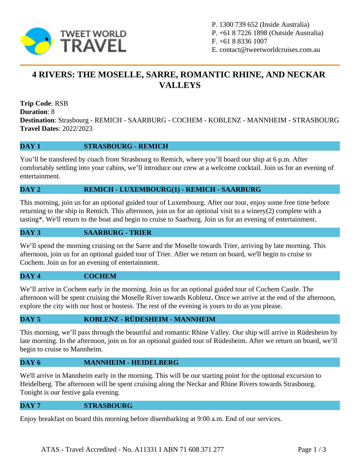

P. 1300 739 652 (Inside Australia) P. +61 8 7226 1898 (Outside Australia) F. +61 8 8336 1007 E. contact@tweetworldcruises.com.au

# **4 RIVERS: THE MOSELLE, SARRE, ROMANTIC RHINE, AND NECKAR VALLEYS**

**Trip Code**: RSB **Duration**: 8 **Destination**: Strasbourg - REMICH - SAARBURG - COCHEM - KOBLENZ - MANNHEIM - STRASBOURG **Travel Dates**: 2022/2023

# **DAY 1 STRASBOURG - REMICH**

You'll be transfered by coach from Strasbourg to Remich, where you'll board our ship at 6 p.m. After comfortably settling into your cabins, we'll introduce our crew at a welcome cocktail. Join us for an evening of entertainment.

# **DAY 2 REMICH - LUXEMBOURG(1) - REMICH - SAARBURG**

This morning, join us for an optional guided tour of Luxembourg. After our tour, enjoy some free time before returning to the ship in Remich. This afternoon, join us for an optional visit to a winery(2) complete with a tasting\*. We'll return to the boat and begin to cruise to Saarburg. Join us for an evening of entertainment.

# **DAY 3 SAARBURG - TRIER**

We'll spend the morning cruising on the Sarre and the Moselle towards Trier, arriving by late morning. This afternoon, join us for an optional guided tour of Trier. After we return on board, we'll begin to cruise to Cochem. Join us for an evening of entertainment.

### **DAY 4 COCHEM**

We'll arrive in Cochem early in the morning. Join us for an optional guided tour of Cochem Castle. The afternoon will be spent cruising the Moselle River towards Koblenz. Once we arrive at the end of the afternoon, explore the city with our host or hostess. The rest of the evening is yours to do as you please.

### **DAY 5 KOBLENZ - RÜDESHEIM - MANNHEIM**

This morning, we'll pass through the beautiful and romantic Rhine Valley. Our ship will arrive in Rüdesheim by late morning. In the afternoon, join us for an optional guided tour of Rüdesheim. After we return on board, we'll begin to cruise to Mannheim.

### **DAY 6 MANNHEIM - HEIDELBERG**

We'll arrive in Mannheim early in the morning. This will be our starting point for the optional excursion to Heidelberg. The afternoon will be spent cruising along the Neckar and Rhine Rivers towards Strasbourg. Tonight is our festive gala evening.

#### **DAY 7 STRASBOURG**

Enjoy breakfast on board this morning before disembarking at 9:00 a.m. End of our services.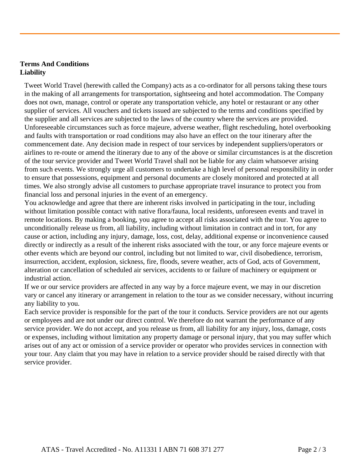# **Terms And Conditions Liability**

Tweet World Travel (herewith called the Company) acts as a co-ordinator for all persons taking these tours in the making of all arrangements for transportation, sightseeing and hotel accommodation. The Company does not own, manage, control or operate any transportation vehicle, any hotel or restaurant or any other supplier of services. All vouchers and tickets issued are subjected to the terms and conditions specified by the supplier and all services are subjected to the laws of the country where the services are provided. Unforeseeable circumstances such as force majeure, adverse weather, flight rescheduling, hotel overbooking and faults with transportation or road conditions may also have an effect on the tour itinerary after the commencement date. Any decision made in respect of tour services by independent suppliers/operators or airlines to re-route or amend the itinerary due to any of the above or similar circumstances is at the discretion of the tour service provider and Tweet World Travel shall not be liable for any claim whatsoever arising from such events. We strongly urge all customers to undertake a high level of personal responsibility in order to ensure that possessions, equipment and personal documents are closely monitored and protected at all times. We also strongly advise all customers to purchase appropriate travel insurance to protect you from financial loss and personal injuries in the event of an emergency.

You acknowledge and agree that there are inherent risks involved in participating in the tour, including without limitation possible contact with native flora/fauna, local residents, unforeseen events and travel in remote locations. By making a booking, you agree to accept all risks associated with the tour. You agree to unconditionally release us from, all liability, including without limitation in contract and in tort, for any cause or action, including any injury, damage, loss, cost, delay, additional expense or inconvenience caused directly or indirectly as a result of the inherent risks associated with the tour, or any force majeure events or other events which are beyond our control, including but not limited to war, civil disobedience, terrorism, insurrection, accident, explosion, sickness, fire, floods, severe weather, acts of God, acts of Government, alteration or cancellation of scheduled air services, accidents to or failure of machinery or equipment or industrial action.

If we or our service providers are affected in any way by a force majeure event, we may in our discretion vary or cancel any itinerary or arrangement in relation to the tour as we consider necessary, without incurring any liability to you.

Each service provider is responsible for the part of the tour it conducts. Service providers are not our agents or employees and are not under our direct control. We therefore do not warrant the performance of any service provider. We do not accept, and you release us from, all liability for any injury, loss, damage, costs or expenses, including without limitation any property damage or personal injury, that you may suffer which arises out of any act or omission of a service provider or operator who provides services in connection with your tour. Any claim that you may have in relation to a service provider should be raised directly with that service provider.